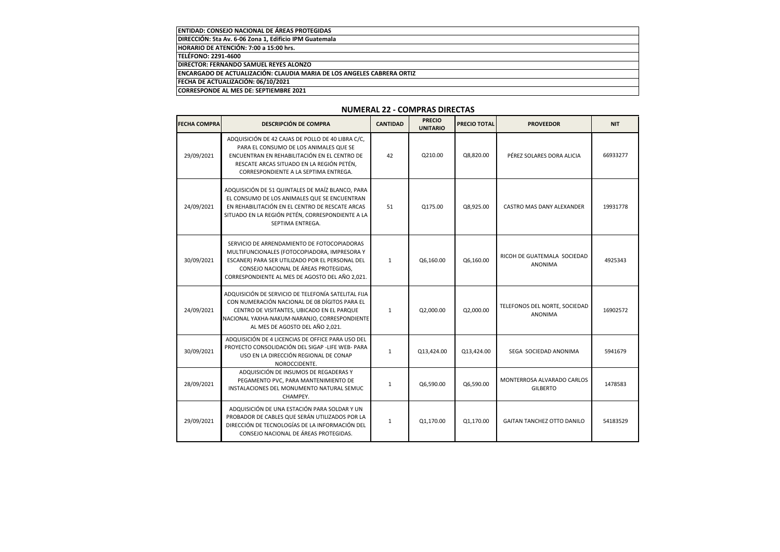| <b>IENTIDAD: CONSEJO NACIONAL DE ÁREAS PROTEGIDAS</b>                          |
|--------------------------------------------------------------------------------|
| DIRECCIÓN: 5ta Av. 6-06 Zona 1, Edificio IPM Guatemala                         |
| HORARIO DE ATENCIÓN: 7:00 a 15:00 hrs.                                         |
| <b>TELÉFONO: 2291-4600</b>                                                     |
| <b>IDIRECTOR: FERNANDO SAMUEL REYES ALONZO</b>                                 |
| <b>IENCARGADO DE ACTUALIZACIÓN: CLAUDIA MARIA DE LOS ANGELES CABRERA ORTIZ</b> |
| FECHA DE ACTUALIZACIÓN: 06/10/2021                                             |
| ICORRESPONDE AL MES DE: SEPTIEMBRE 2021                                        |

## **NUMERAL 22 - COMPRAS DIRECTAS**

| <b>FECHA COMPRA</b> | <b>DESCRIPCIÓN DE COMPRA</b>                                                                                                                                                                                                               | <b>CANTIDAD</b> | <b>PRECIO</b><br><b>UNITARIO</b> | <b>PRECIO TOTAL</b> | <b>PROVEEDOR</b>                                | <b>NIT</b> |
|---------------------|--------------------------------------------------------------------------------------------------------------------------------------------------------------------------------------------------------------------------------------------|-----------------|----------------------------------|---------------------|-------------------------------------------------|------------|
| 29/09/2021          | ADQUISICIÓN DE 42 CAJAS DE POLLO DE 40 LIBRA C/C,<br>PARA EL CONSUMO DE LOS ANIMALES QUE SE<br>ENCUENTRAN EN REHABILITACIÓN EN EL CENTRO DE<br>RESCATE ARCAS SITUADO EN LA REGIÓN PETÉN,<br>CORRESPONDIENTE A LA SEPTIMA ENTREGA.          | 42              | Q210.00                          | Q8,820.00           | PÉREZ SOLARES DORA ALICIA                       | 66933277   |
| 24/09/2021          | ADQUISICIÓN DE 51 QUINTALES DE MAÍZ BLANCO, PARA<br>EL CONSUMO DE LOS ANIMALES QUE SE ENCUENTRAN<br>EN REHABILITACIÓN EN EL CENTRO DE RESCATE ARCAS<br>SITUADO EN LA REGIÓN PETÉN, CORRESPONDIENTE A LA<br>SEPTIMA ENTREGA.                | 51              | Q175.00                          | Q8,925.00           | CASTRO MAS DANY ALEXANDER                       | 19931778   |
| 30/09/2021          | SERVICIO DE ARRENDAMIENTO DE FOTOCOPIADORAS<br>MULTIFUNCIONALES (FOTOCOPIADORA, IMPRESORA Y<br>ESCANER) PARA SER UTILIZADO POR EL PERSONAL DEL<br>CONSEJO NACIONAL DE ÁREAS PROTEGIDAS,<br>CORRESPONDIENTE AL MES DE AGOSTO DEL AÑO 2,021. | $\mathbf{1}$    | Q6,160.00                        | Q6,160.00           | RICOH DE GUATEMALA SOCIEDAD<br><b>ANONIMA</b>   | 4925343    |
| 24/09/2021          | ADQUISICIÓN DE SERVICIO DE TELEFONÍA SATELITAL FIJA<br>CON NUMERACIÓN NACIONAL DE 08 DÍGITOS PARA EL<br>CENTRO DE VISITANTES, UBICADO EN EL PARQUE<br>NACIONAL YAXHA-NAKUM-NARANJO, CORRESPONDIENTE<br>AL MES DE AGOSTO DEL AÑO 2,021.     | $\mathbf{1}$    | Q2,000.00                        | Q2,000.00           | TELEFONOS DEL NORTE, SOCIEDAD<br><b>ANONIMA</b> | 16902572   |
| 30/09/2021          | ADQUISICIÓN DE 4 LICENCIAS DE OFFICE PARA USO DEL<br>PROYECTO CONSOLIDACIÓN DEL SIGAP -LIFE WEB- PARA<br>USO EN LA DIRECCIÓN REGIONAL DE CONAP<br>NOROCCIDENTE.                                                                            | $\mathbf{1}$    | Q13,424.00                       | Q13,424.00          | SEGA SOCIEDAD ANONIMA                           | 5941679    |
| 28/09/2021          | ADQUISICIÓN DE INSUMOS DE REGADERAS Y<br>PEGAMENTO PVC, PARA MANTENIMIENTO DE<br>INSTALACIONES DEL MONUMENTO NATURAL SEMUC<br>CHAMPEY.                                                                                                     | $\mathbf{1}$    | Q6,590.00                        | Q6,590.00           | MONTERROSA ALVARADO CARLOS<br><b>GILBERTO</b>   | 1478583    |
| 29/09/2021          | ADQUISICIÓN DE UNA ESTACIÓN PARA SOLDAR Y UN<br>PROBADOR DE CABLES QUE SERÁN UTILIZADOS POR LA<br>DIRECCIÓN DE TECNOLOGÍAS DE LA INFORMACIÓN DEL<br>CONSEJO NACIONAL DE ÁREAS PROTEGIDAS.                                                  | $\mathbf{1}$    | Q1,170.00                        | Q1,170.00           | <b>GAITAN TANCHEZ OTTO DANILO</b>               | 54183529   |